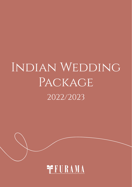# Indian Wedding PACKAGE 2022/2023

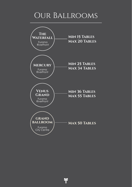### Our Ballrooms



**i**f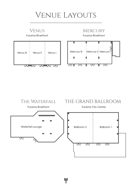### Venue Layouts





٩f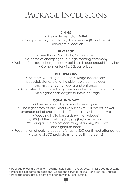### Package Inclusions

### **DINING**

• A sumptuous Indian Buffet • Complimentary Food Tasting for 8 persons (8 food items) - Delivery to a location

### **BEVERAGE**

- Free flow of Soft drinks, Coffee & Tea
- A bottle of champagne for stage toasting ceremony
- Waiver of corkage charge for duty paid hard liquor brought in by host
	- Complimentary 1 x 30L barrel beer

### **DECORATIONS**

• Ballroom Wedding decorations: Stage decorations, pedestals stands along the aisle, table centrepieces and misty effect for your grand entrance

- A multi-tier dummy wedding cake for cake cutting ceremony
	- An elegant champagne fountain on stage

### **COMPLIMENTARY**

- Giveaway wedding favour for every guest
- One night's stay at our Executive Suite with fruit basket, flower arrangement of choice and buffet breakfast/ lunch for two
	- Wedding invitation cards (with envelopes) for 80% of the confirmed guests (Exclude printing)
	- Wedding accessory set consisting of an Ang Pao box and signature book
- Redemption of parking coupons for up to 20% confirmed attendance
	- Usage of LCD projector(s) and built-in screen(s)

- Package prices are valid for Weddings held from 1 January 2022 till 31st December 2023.
- Prices are subject to an additional Goods and Services Tax (GST) and Service Charges.
- Package prices are subjected to change without prior notice.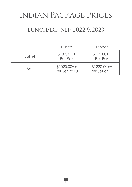### Indian Package Prices

### Lunch/Dinner 2022 & 2023

|               | Lunch                         | Dinner                        |
|---------------|-------------------------------|-------------------------------|
| <b>Buffet</b> | $$102.00++$<br>Per Pax        | $$122.00++$<br>Per Pax        |
| Set           | $$1020.00++$<br>Per Set of 10 | $$1220.00++$<br>Per Set of 10 |

<sup>-</sup>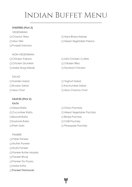#### **STARTERS (Pick 2)**

VEGETARIAN Punjabi Samosa

NON-VEGETARIAN O Chicken Drumlets Chicken Tikka O Malai Murg Kebab  $\bigcirc$  Tandoori Chicken

SALAD

### **SAUCES (Pick 2)** RAITA

O Mixed Raita **COMISSION** O Onion Pachidy O Boondi Raita **Bring Pachidy** O Kashmiri Raita Chilli Pachidy

PANEER

Palak Paneer Mutter Paneer ○Shahi Paneer Paneer Butter Masala Paneer Bhurji Paneer Do Pyaza Malai Kofta Paneer Peshawari

 $\bigcap$ Channa Tikka  $\bigcap$  Hara Bhara Kebab O Aloo Tikki Mixed Veaetable Pakora

O Chicken Pakora Mini Chicken Cutlets

O Garden Salad C Yoghurt Salad O Russian Salad Kachumber Salad Aloo Chat Aloo Channa Chat

O Cucumber Raita Mixed Vegetable Pachidy O Plain Dahi **Pineapple Pachidy**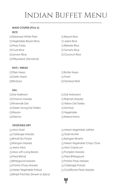### **MAIN COURSE (Pick 6) RICE**

O Steamed White Plain **British Contract Contract Contract Contract Contract Contract Contract Contract Contract Contract Contract Contract Contract Contract Contract Contract Contract Contract Contract Contract Contract Co** Q Vegetable Brivani Rice Q Jeera Rice O Peas Pulao **Bisibele Rice** C Bisibele Rice O Curd Rice C Tomato Rice O Lemon Rice Coconut Rice Pilliyodarai (Tamarind)

### **ROTI / BREAD**

O Plain Naan O Garlic Naan OBhatura

### **DAL**

Dal Makhani Dal Maharani  $\bigcap$ Channa Masala  $\bigcap$ Rajmah Masala O Riverwalk Dal (2002) Nellow Dal Tadka O Green Mung Dal Tadka Sambar O Rasam C Vegetable O Dalcha Keerai Kootu

### **Vegetable DRY**

∩Aloo Gobi (Aloo Gobi Aloo Gobi Aloo Gobi Aloo Gobi Aloo Gobi Aloo Gobi Aloo Gobi Aloo Gobi Aloo Gobi Aloo Gob ∩Cabbage Masala Gobi Mutter O Bhindi Do Pyaza ann ann an Bharta ann an Dùbhlachas ann an Daoingan Bharta O Baingan Masala Masala Manus C Mixed Vegetable Chap Chye O Jeera Aloo Aloo Capsicum  $\bigcirc$  Aloo with Long Beans  $\bigcirc$  Pumpkin Masala Ofried Bhindi Gerald Bittergourd ∩Bittergourd Masala 2008 C Potato Peas Masala ∩Potato Chop Masala Cabbage Poriyal O Mixed Vegetable Poriyal Cauliflower Peas Masala Brinjal Pachidy (Sweet or Spicy)

| ○ Butter Naan   |  |
|-----------------|--|
| ∩ Poori         |  |
| O Tandoori Roti |  |

- 
- 

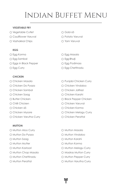### **Vegetable FRY**

- O Vegetable Cutlet Company Company Company Company Company Company Company Company Company Company Company Company Company Company Company Company Company Company Company Company Company Company Company Company Company Com
- O Cauliflower Varuval **Potato Varuval** Potato Varuval
- O Vazhakkai Chips (Cam Varuval

### **EGG**

- 
- O Egg Sambal C Egg Bhurji
- O Eggs in Black Pepper C Egg Podimass
- 

### **CHICKEN**

- 
- O Chicken Do Pyaza Chicken Vindaloo
- O Chicken Sambal Chicken Jalfrezi
- 
- 
- 
- 
- 
- O Chicken Varutha Curry Company Control Chicken Perattal

### **MUTTON**

- O Mutton Aloo Curry **Mutton Masala**
- O Mutton Do Pyaza Mutton Vindaloo
- 
- 
- 
- O Mutton Chop Masala **Madras Mutton Curry**
- 
- 
- 
- 
- 
- O Egg Korma C Egg Masala
	-
	-
- O Egg Curry C Egg Chettinadu
- O Chicken Masala **Punjabi Chicken Curry** 
	-
	-
- O Chicken Saag Chicken Karahi
- $\bigcap$  Butter Chicken  $\bigcap$  Black Pepper Chicken
- O Chilli Chicken Chicken Varuval
- O Chicken 65 Chicken Korma
- O Chicken Mysore Chicken Melagu Curry
	-
	-
	-
- O Mutton Saag Mutton Karahi
- O Mutton Mutter Mutton Korma
- O Mutton Kastoori **Mutton Melagu Curry** 
	-
- O Mutton Chettinadu △ O Mutton Pepper Curry
- O Mutton Perattal **Mutton Varutha Curry**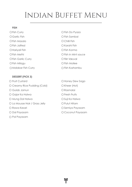#### **FISH**

O Garlic Fish **Fish Sambal** Fish Masala Chilli Fish O Fish Jalfrezi Karahi Fish O Hariyali Fish Fish Korma O Fish Garlic Curry **Carlie Curry Communist Carlier Communist Communist Communist Communist Communist Communist Communist Communist Communist Communist Communist Communist Communist Communist Communist Communist Communist** O Fish Milagu **C** Fish Moilee

#### **DESSERT (PICK 3)**

O Fruit Custard Contact Contact Contact Contact Contact Contact Contact Contact Contact Contact Contact Contact Contact Contact Contact Contact Contact Contact Contact Contact Contact Contact Contact Contact Contact Contac O Creamy Rice Pudding (Cold) CKheer (Hot) O Gulab Jamun Q Rasmalai O Gajar Ka Halwa **Fresh Fruits** O Mung Dal Halwa Suji Ka Halwa Suji Ka Halwa O La Mousse Noir / Grass Jelly  $O$  Pulut Hitam O Rawa Kesari Newsian Semiya Payasam O Dal Payasam Coconut Payasam O Pal Payasam

O Fish Curry C Fish Do Pyaza  $\bigcap$  Fish Methi  $\bigcap$  Fish in Mint square O Malabar Fish Curry **Fish Kozhambur** O Fish Kozhambu

FF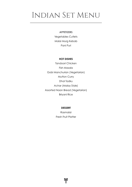### Indian Set Menu

#### **APPETIZERS**

Vegetables Cutlets Malai Murg Kebab Pani Puri

#### **HOT DISHES**

Tandoori Chicken Fish Masala Gobi Manchurian (Vegetarian) Mutton Curry Dhal Tadku Achar (Malay Style) Assorted Naan Bread (Vegetarian) Briyani Rice

#### **DESSERT**

Rasmalai Fresh Fruit Platter

٩f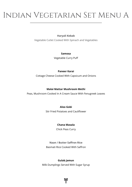# Indian Vegetarian Set Menu A

### **Haryali Kebab**

Vegetable Cutlet Cooked With Spinach and Vegetables

#### **Samosa**

Vegetable Curry Puff

### **Paneer Karai**

Cottage Cheese Cooked With Capsicum and Onions

### **Malai Mattar Mushroom Methi**

Peas, Mushroom Cooked In A Cream Sauce With Fenugreek Leaves

### **Aloo Gobi**

Stir Fried Potatoes and Cauliflower

### **Chana Masala**

Chick Peas Curry

**Naan / Butter Saffron Rice** Basmati Rice Cooked With Saffron

### **Gulab Jamun**

Milk Dumplings Served With Sugar Syrup

FF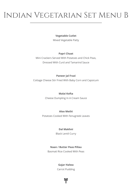# Indian Vegetarian Set Menu B

#### **Vegetable Cutlet**

Mixed Vegetable Patty

### **Papri Chaat**

Mini Crackers Served With Potatoes and Chick Peas, Dressed With Curd and Tamarind Sauce

### **Paneer Jal Frazi**

Cottage Cheese Stir Fried With Baby Corn and Capsicum

#### **Malai Kofta**

Cheese Dumpling In A Cream Sauce

### **Aloo Methi**

Potatoes Cooked With Fenugreek Leaves

### **Dal Makhni**

Black Lentil Curry

### **Naan / Butter Peas Pillau**

Basmati Rice Cooked With Peas

### **Gajar Halwa**

Carrot Pudding

FF